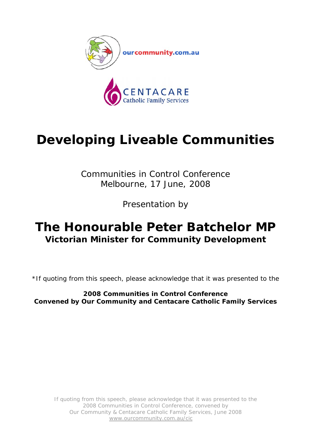

# **Developing Liveable Communities**

Communities in Control Conference Melbourne, 17 June, 2008

Presentation by

# **The Honourable Peter Batchelor MP Victorian Minister for Community Development**

\*If quoting from this speech, please acknowledge that it was presented to the

**2008 Communities in Control Conference Convened by Our Community and Centacare Catholic Family Services**

If quoting from this speech, please acknowledge that it was presented to the 2008 Communities in Control Conference, convened by Our Community & Centacare Catholic Family Services, June 2008 www.ourcommunity.com.au/cic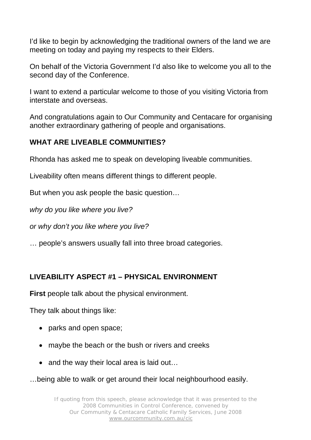I'd like to begin by acknowledging the traditional owners of the land we are meeting on today and paying my respects to their Elders.

On behalf of the Victoria Government I'd also like to welcome you all to the second day of the Conference.

I want to extend a particular welcome to those of you visiting Victoria from interstate and overseas.

And congratulations again to Our Community and Centacare for organising another extraordinary gathering of people and organisations.

# **WHAT ARE LIVEABLE COMMUNITIES?**

Rhonda has asked me to speak on developing liveable communities.

Liveability often means different things to different people.

But when you ask people the basic question…

*why do you like where you live?* 

*or why don't you like where you live?* 

… people's answers usually fall into three broad categories.

# **LIVEABILITY ASPECT #1 – PHYSICAL ENVIRONMENT**

**First** people talk about the physical environment.

They talk about things like:

- parks and open space;
- maybe the beach or the bush or rivers and creeks
- and the way their local area is laid out...

…being able to walk or get around their local neighbourhood easily.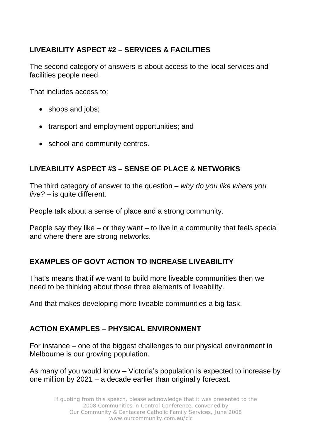# **LIVEABILITY ASPECT #2 – SERVICES & FACILITIES**

The second category of answers is about access to the local services and facilities people need.

That includes access to:

- shops and jobs;
- transport and employment opportunities; and
- school and community centres.

# **LIVEABILITY ASPECT #3 – SENSE OF PLACE & NETWORKS**

The third category of answer to the question – *why do you like where you live? –* is quite different.

People talk about a sense of place and a strong community.

People say they like – or they want – to live in a community that feels special and where there are strong networks.

# **EXAMPLES OF GOVT ACTION TO INCREASE LIVEABILITY**

That's means that if we want to build more liveable communities then we need to be thinking about those three elements of liveability.

And that makes developing more liveable communities a big task.

# **ACTION EXAMPLES – PHYSICAL ENVIRONMENT**

For instance – one of the biggest challenges to our physical environment in Melbourne is our growing population.

As many of you would know – Victoria's population is expected to increase by one million by 2021 – a decade earlier than originally forecast.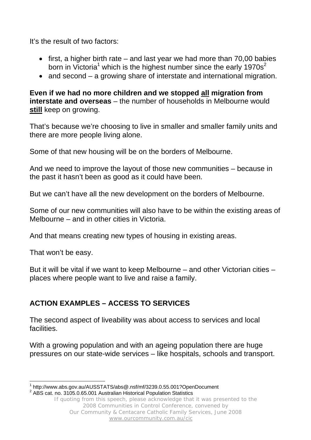It's the result of two factors:

- first, a higher birth rate and last year we had more than 70,00 babies born in Victoria<sup>1</sup> which is the highest number since the early 1970s<sup>2</sup>
- and second a growing share of interstate and international migration.

**Even if we had no more children and we stopped all migration from interstate and overseas** – the number of households in Melbourne would **still** keep on growing.

That's because we're choosing to live in smaller and smaller family units and there are more people living alone.

Some of that new housing will be on the borders of Melbourne.

And we need to improve the layout of those new communities – because in the past it hasn't been as good as it could have been.

But we can't have all the new development on the borders of Melbourne.

Some of our new communities will also have to be within the existing areas of Melbourne – and in other cities in Victoria.

And that means creating new types of housing in existing areas.

That won't be easy.

But it will be vital if we want to keep Melbourne – and other Victorian cities – places where people want to live and raise a family.

# **ACTION EXAMPLES – ACCESS TO SERVICES**

The second aspect of liveability was about access to services and local facilities.

With a growing population and with an ageing population there are huge pressures on our state-wide services – like hospitals, schools and transport.

 $\overline{a}$ 1 http://www.abs.gov.au/AUSSTATS/abs@.nsf/mf/3239.0.55.001?OpenDocument 2  $2$  ABS cat. no. 3105.0.65.001 Australian Historical Population Statistics

If quoting from this speech, please acknowledge that it was presented to the 2008 Communities in Control Conference, convened by Our Community & Centacare Catholic Family Services, June 2008 www.ourcommunity.com.au/cic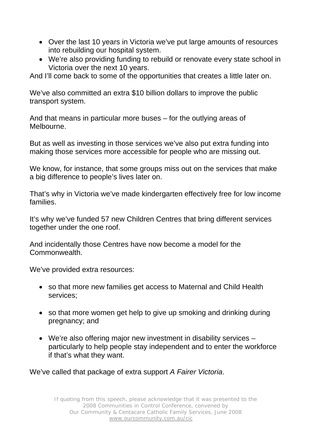- Over the last 10 years in Victoria we've put large amounts of resources into rebuilding our hospital system.
- We're also providing funding to rebuild or renovate every state school in Victoria over the next 10 years.

And I'll come back to some of the opportunities that creates a little later on.

We've also committed an extra \$10 billion dollars to improve the public transport system.

And that means in particular more buses – for the outlying areas of Melbourne.

But as well as investing in those services we've also put extra funding into making those services more accessible for people who are missing out.

We know, for instance, that some groups miss out on the services that make a big difference to people's lives later on.

That's why in Victoria we've made kindergarten effectively free for low income families.

It's why we've funded 57 new Children Centres that bring different services together under the one roof.

And incidentally those Centres have now become a model for the Commonwealth.

We've provided extra resources:

- so that more new families get access to Maternal and Child Health services;
- so that more women get help to give up smoking and drinking during pregnancy; and
- We're also offering major new investment in disability services particularly to help people stay independent and to enter the workforce if that's what they want.

We've called that package of extra support *A Fairer Victoria*.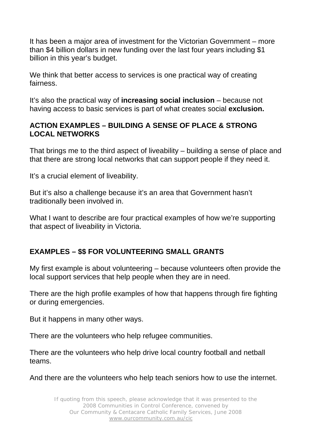It has been a major area of investment for the Victorian Government – more than \$4 billion dollars in new funding over the last four years including \$1 billion in this year's budget.

We think that better access to services is one practical way of creating fairness.

It's also the practical way of **increasing social inclusion** – because not having access to basic services is part of what creates social **exclusion.** 

#### **ACTION EXAMPLES – BUILDING A SENSE OF PLACE & STRONG LOCAL NETWORKS**

That brings me to the third aspect of liveability – building a sense of place and that there are strong local networks that can support people if they need it.

It's a crucial element of liveability.

But it's also a challenge because it's an area that Government hasn't traditionally been involved in.

What I want to describe are four practical examples of how we're supporting that aspect of liveability in Victoria.

# **EXAMPLES – \$\$ FOR VOLUNTEERING SMALL GRANTS**

My first example is about volunteering – because volunteers often provide the local support services that help people when they are in need.

There are the high profile examples of how that happens through fire fighting or during emergencies.

But it happens in many other ways.

There are the volunteers who help refugee communities.

There are the volunteers who help drive local country football and netball teams.

And there are the volunteers who help teach seniors how to use the internet.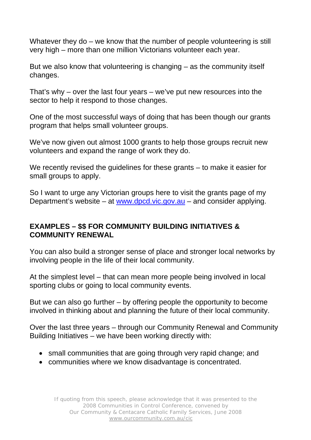Whatever they do – we know that the number of people volunteering is still very high – more than one million Victorians volunteer each year.

But we also know that volunteering is changing – as the community itself changes.

That's why – over the last four years – we've put new resources into the sector to help it respond to those changes.

One of the most successful ways of doing that has been though our grants program that helps small volunteer groups.

We've now given out almost 1000 grants to help those groups recruit new volunteers and expand the range of work they do.

We recently revised the guidelines for these grants – to make it easier for small groups to apply.

So I want to urge any Victorian groups here to visit the grants page of my Department's website – at www.dpcd.vic.gov.au – and consider applying.

# **EXAMPLES – \$\$ FOR COMMUNITY BUILDING INITIATIVES & COMMUNITY RENEWAL**

You can also build a stronger sense of place and stronger local networks by involving people in the life of their local community.

At the simplest level – that can mean more people being involved in local sporting clubs or going to local community events.

But we can also go further – by offering people the opportunity to become involved in thinking about and planning the future of their local community.

Over the last three years – through our Community Renewal and Community Building Initiatives – we have been working directly with:

- small communities that are going through very rapid change; and
- communities where we know disadvantage is concentrated.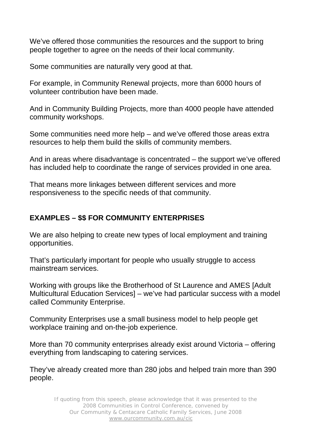We've offered those communities the resources and the support to bring people together to agree on the needs of their local community.

Some communities are naturally very good at that.

For example, in Community Renewal projects, more than 6000 hours of volunteer contribution have been made.

And in Community Building Projects, more than 4000 people have attended community workshops.

Some communities need more help – and we've offered those areas extra resources to help them build the skills of community members.

And in areas where disadvantage is concentrated – the support we've offered has included help to coordinate the range of services provided in one area.

That means more linkages between different services and more responsiveness to the specific needs of that community.

# **EXAMPLES – \$\$ FOR COMMUNITY ENTERPRISES**

We are also helping to create new types of local employment and training opportunities.

That's particularly important for people who usually struggle to access mainstream services.

Working with groups like the Brotherhood of St Laurence and AMES [Adult Multicultural Education Services] – we've had particular success with a model called Community Enterprise.

Community Enterprises use a small business model to help people get workplace training and on-the-job experience.

More than 70 community enterprises already exist around Victoria – offering everything from landscaping to catering services.

They've already created more than 280 jobs and helped train more than 390 people.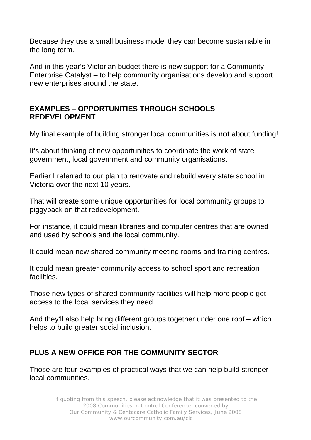Because they use a small business model they can become sustainable in the long term.

And in this year's Victorian budget there is new support for a Community Enterprise Catalyst – to help community organisations develop and support new enterprises around the state.

#### **EXAMPLES – OPPORTUNITIES THROUGH SCHOOLS REDEVELOPMENT**

My final example of building stronger local communities is **not** about funding!

It's about thinking of new opportunities to coordinate the work of state government, local government and community organisations.

Earlier I referred to our plan to renovate and rebuild every state school in Victoria over the next 10 years.

That will create some unique opportunities for local community groups to piggyback on that redevelopment.

For instance, it could mean libraries and computer centres that are owned and used by schools and the local community.

It could mean new shared community meeting rooms and training centres.

It could mean greater community access to school sport and recreation facilities.

Those new types of shared community facilities will help more people get access to the local services they need.

And they'll also help bring different groups together under one roof – which helps to build greater social inclusion.

# **PLUS A NEW OFFICE FOR THE COMMUNITY SECTOR**

Those are four examples of practical ways that we can help build stronger local communities.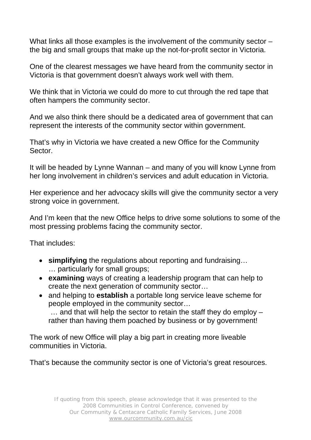What links all those examples is the involvement of the community sector – the big and small groups that make up the not-for-profit sector in Victoria.

One of the clearest messages we have heard from the community sector in Victoria is that government doesn't always work well with them.

We think that in Victoria we could do more to cut through the red tape that often hampers the community sector.

And we also think there should be a dedicated area of government that can represent the interests of the community sector within government.

That's why in Victoria we have created a new Office for the Community Sector.

It will be headed by Lynne Wannan – and many of you will know Lynne from her long involvement in children's services and adult education in Victoria.

Her experience and her advocacy skills will give the community sector a very strong voice in government.

And I'm keen that the new Office helps to drive some solutions to some of the most pressing problems facing the community sector.

That includes:

- **simplifying** the regulations about reporting and fundraising… … particularly for small groups;
- **examining** ways of creating a leadership program that can help to create the next generation of community sector…
- and helping to **establish** a portable long service leave scheme for people employed in the community sector… … and that will help the sector to retain the staff they do employ – rather than having them poached by business or by government!

The work of new Office will play a big part in creating more liveable communities in Victoria.

That's because the community sector is one of Victoria's great resources.